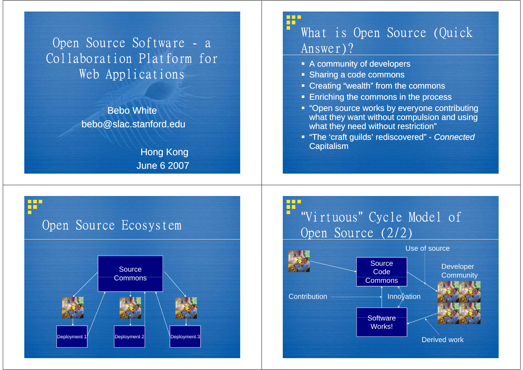Open Source Software - <sup>a</sup> Collaboration Platform for Web Applications

> Bebo Whitebebo@slac.stanford.edu

> > Hong Kong June 6 2007

#### ₩ What is Open Source (Quick Answer)?

- A community of developers
- Sharing a code commons
- Creating "wealth" from the commons
- **Enriching the commons in the process**
- **"Open source works by everyone contributing** what they want without compulsion and using what they need without restriction"
- "The 'craft guilds' rediscovered" *Connected* **Capitalism**



"Virtuous" Cycle Model of Open Source (2/2)

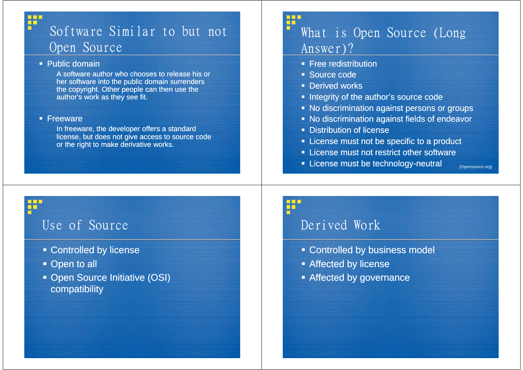# Software Similar to but not O pen Source

#### Public domain

₩

П

Ť

A software author who chooses to release his or her software into the public domain surrenders the copyri ght. Other peo ple can then use the author's work as they see fit.

#### **Freeware**

In freeware, the developer offers a standard license, but does not give access to source code or the right to make derivative works.

#### ₩ What is Open Source (Long Answer)?

- **Free redistribution**
- Source code
- Derived works
- **Integrity of the author's source code**
- **No discrimination against persons or groups**
- No discrimination against fields of endeavor
- **Distribution of license**
- **EXTENDED EXTENDED IN License must not be specific to a product**
- **Example 1** License must not restrict other software
- **EXEC** License must be technology-neutral

(Opensource.org)

## Use of Source

- Controlled by license
- Open to all
- **Den Source Initiative (OSI)** compatibility

# ٢ň

## Derived Work

- **Controlled by business model**
- **Affected by license**
- **Affected by governance**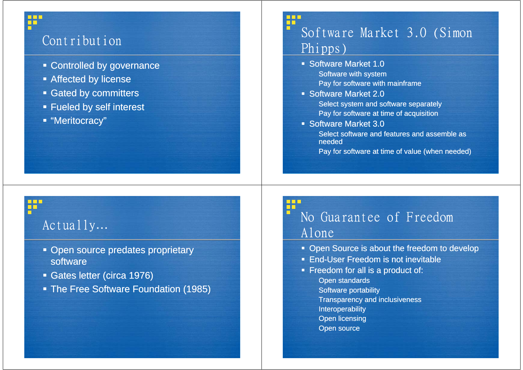# Contribution

₽

₩

- **Exampled by governance**
- **Affected by license**
- **Gated by committers**
- Fueled by self interest
- "Meritocracy"

#### ₩ Software Market 3.0 (Simon Phipps)

- **Software Market 1.0** Software with system Pay for software with mainframe
- Software Market 2.0 Select system and software separately Pay for software at time of acquisition
- Software Market 3.0
	- Select software and features and assemble asneeded
	- Pay for software at time of value (when needed)

# Actually…

- **Open source predates proprietary** software
- Gates letter (circa 1976)
- The Free Software Foundation (1985)

# No Guarantee of Freedom Alone

- **Open Source is about the freedom to develop**
- **End-User Freedom is not inevitable**
- **Filte Freedom for all is a product of:** End-User Freed<br>Freedom for all i<br>Open standards Software portability **Transparency and inclusiveness** Interoperability
	- Open licensing
	- Open source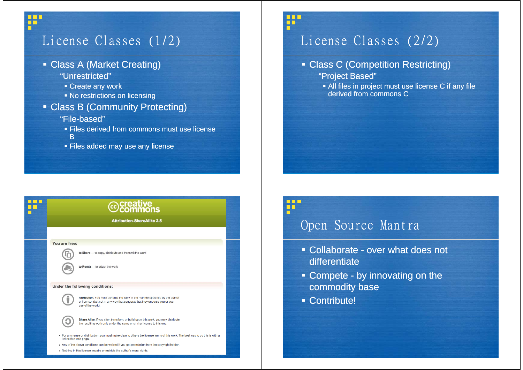# License Classes (1/2)

Class A (Market Creating)

#### "Unrestricted"

₩

п

- Create any work
- No restrictions on licensing

#### Class B (Community Protecting) "File-based"

- 
- **Files derived from commons must use license** B
- Files added may use any license

# License Classes (2/2)

#### **- Class C (Competition Restricting)**

- "Project Based"
- All files in project must use license C if any file derived from commons C

| <b><i> </i> ⊙Creative</b><br>©Commons                                                                                                                                              |
|------------------------------------------------------------------------------------------------------------------------------------------------------------------------------------|
| <b>Attribution-ShareAlike 2.5</b>                                                                                                                                                  |
|                                                                                                                                                                                    |
| You are free:                                                                                                                                                                      |
| to Share - to copy, distribute and transmit the work                                                                                                                               |
| to Remix - to adapt the work                                                                                                                                                       |
| Under the following conditions:                                                                                                                                                    |
| Attribution. You must attribute the work in the manner specified by the author<br>or licensor (but not in any way that suggests that they endorse you or your<br>use of the work). |
| Share Alike. If you alter, transform, or build upon this work, you may distribute<br>the resulting work only under the same or similar license to this one.                        |
| • For any reuse or distribution, you must make clear to others the license terms of this work. The best way to do this is with a<br>link to this web page.                         |
| • Any of the above conditions can be waived if you get permission from the copyright holder.<br>• Nothing in this license impairs or restricts the author's moral rights.          |

#### ₩

₩

#### Open Source Mantra

- Collaborate over what does not differentiate
- **Compete by innovating on the** commodity base
- Contribute!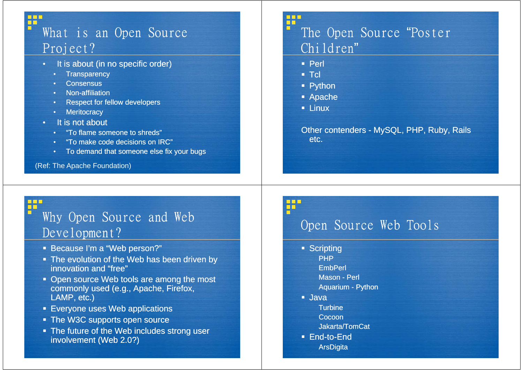## ₽ What is an Open Source Project?

- It is about (in no specific order)
	- •**Transparency**
	- •**Consensus**

 $\blacksquare$ 

- Non affiliation Non-affiliation
- Respect for fellow developers
- Meritocracy
- •It is not about
	- •"To flame someone to shreds"shreds To
	- •"To make code decisions on IRC"
	- To demand that someone else fix your bugs

(Ref: The Apache Foundation)

## ₩ The Open Source "Poster Children"

- Perl
- $\blacksquare$  Tcl
- Python
- Apache
- **Linux**

Other contenders - MySQL, PHP, Ruby, Rails etc.

#### ₩ Why Open Source and Web Development?

- **Because I'm a "Web person?"**
- The evolution of the Web has been driven by innovation and "free"
- Open source Web tools are among the most<br>commonly used (e.g., Apache, Firefox, LAMP, etc.) Evelopment ?<br>
Because I'm a "Web person?"<br>
The evolution of the Web has been driven by<br>
innovation and "free"<br>
Open source Web tools are among the most<br>
Commonly used (e.g., Apache, Firefox,<br>
LAMP, etc.)<br>
The W3C supports
- **Everyone uses Web applications**
- The W3C supports open source
- **The future of the Web includes strong user** involvement (Web 2.0?)

# ₩

- **Scripting** 
	- PHP**EmbPerl**
	-
	- Mason Perl
	- Aquarium Python
- Java
	- **Turbine**
	- **Cocoon**
	- Jakarta/TomCat
- End-to-End**ArsDigita**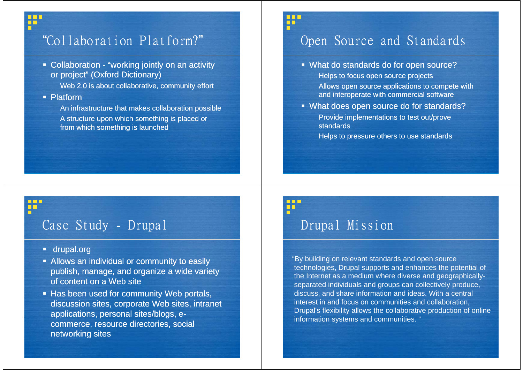# ₽

₩

## "Collaboration Platform?"

**• Collaboration - "working jointly on an activity** or project" (Oxford Dictionary)

Web 2.0 is about collaborative, community effort

Platform

An infrastructure that makes collaboration possible A structure upon which something is placed or from which something is launched

# Open Source and Standards

- What do standards do for open source? Helps to focus open source projects Allows open source applications to compete with and interoperate with commercial software
- What does open source do for standards? Provide implementations to test out/prove standards

Helps to pressure others to use standards

## Case Study - Drupal

- drupal.org
- **Allows an individual or community to easily** publish, manage, and organize a wide variety of content on a Web site
- **Has been used for community Web portals,** discussion sites, corporate Web sites, intranet applications, personal sites/blogs, ecommerce, resource directories, social networking sites

#### 3 B E ĦĒ

₩

## Drupal Mission

"By building on relevant standards and open source technologies, Drupal supports and enhances the potential of the Internet as a medium where diverse and geographicallyseparated individuals and groups can collectively produce, discuss, and share information and ideas. With a central interest in and focus on communities and collaboration, Drupal's flexibility allows the collaborative production of online information systems and communities. "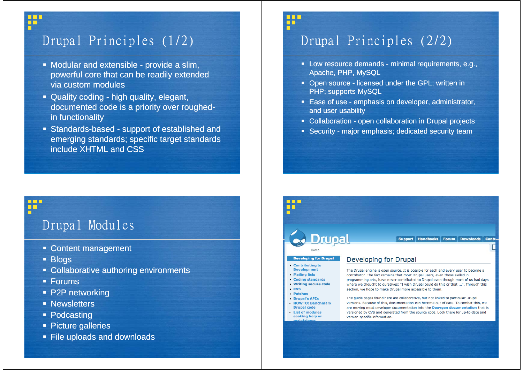# Drupal Principles (1/2)

- Modular and extensible provide a slim, powerful core that can be readily extended via custom modules
- Quality coding high quality, elegant, documented code is a priority over roughedin functionality
- Standards-based support of established and emerging standards; specific target standards include XHTML and CSS

# Drupal Principles (2/2)

22

- Low resource demands minimal requirements, e.g., Apache, PHP, MySQL
- **Den source licensed under the GPL; written in** PHP; supports MySQL
- Ease of use emphasis on developer, administrator, and user usability
- **Collaboration open collaboration in Drupal projects**
- Security major emphasis; dedicated security team

# Drupal Modules

- **Content management**
- Blogs

₩

П

- **Collaborative authoring environments**
- Forums
- P2P networking
- **Newsletters**
- Podcasting
- Picture galleries
- **File uploads and downloads**